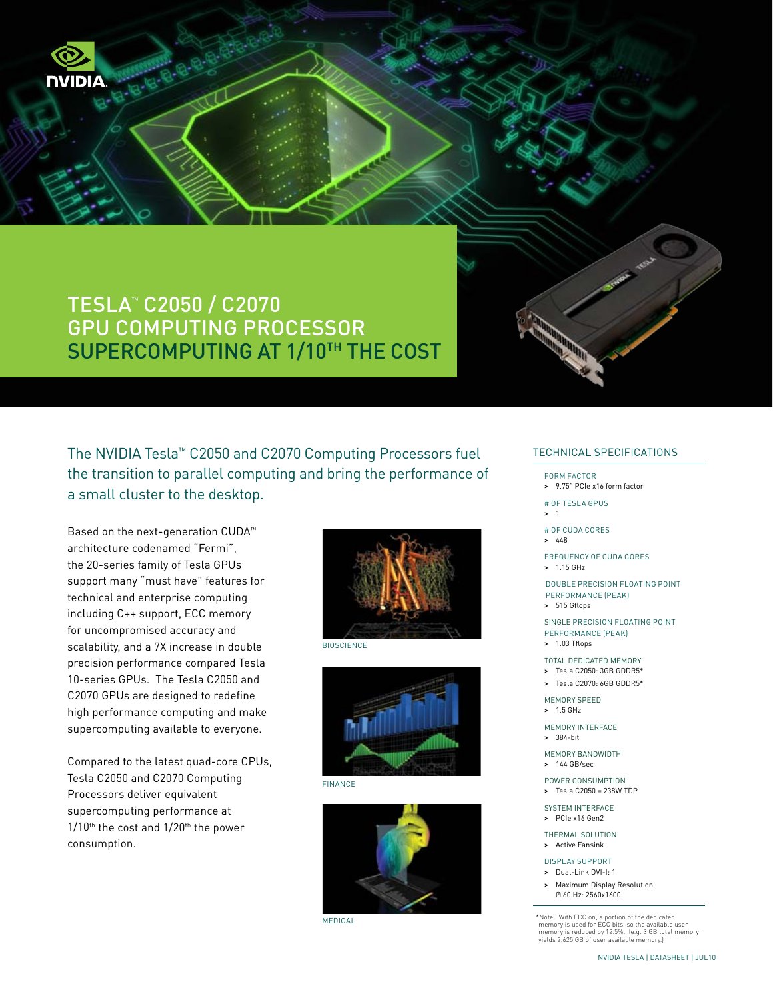

The NVIDIA Tesla™ C2050 and C2070 Computing Processors fuel the transition to parallel computing and bring the performance of a small cluster to the desktop.

Based on the next-generation CUDA™ architecture codenamed "Fermi", the 20-series family of Tesla GPUs support many "must have" features for technical and enterprise computing including C++ support, ECC memory for uncompromised accuracy and scalability, and a 7X increase in double precision performance compared Tesla 10-series GPUs. The Tesla C2050 and C2070 GPUs are designed to redefine high performance computing and make supercomputing available to everyone.

NIDIA

Compared to the latest quad-core CPUs, Tesla C2050 and C2070 Computing Processors deliver equivalent supercomputing performance at 1/10<sup>th</sup> the cost and 1/20<sup>th</sup> the power consumption.



**BIOSCIENCE** 



Finance



Medical

### Technical SPECIFICATIONS

#### FORM FACTOR

> 9.75" PCIe x16 form factor

### # of Tesla GPUs

> 1

### # of CUDA Cores

- > 448
- Frequency of CUDA Cores
- > 1.15 GHz

Double Precision floating point performance (peak) > 515 Gflops

Single Precision floating point performance (peak)

## > 1.03 Tflops

- Total Dedicated Memory
- > Tesla C2050: 3GB GDDR5\*
- > Tesla C2070: 6GB GDDR5\*

Memory Speed > 1.5 GHz

- Memory Interface
- > 384-bit
- 

Memory Bandwidth > 144 GB/sec

Power Consumption > Tesla C2050 = 238W TDP

SYSTEM INTERFACE

> PCIe x16 Gen2

Thermal Solution > Active Fansink

### Display Support

- > Dual-Link DVI-I: 1
- > Maximum Display Resolution @ 60 Hz: 2560x1600

\*Note: With ECC on, a portion of the dedicated memory is used for ECC bits, so the available user memory is reduced by 12.5%. (e.g. 3 GB total memory yields 2.625 GB of user available memory.)